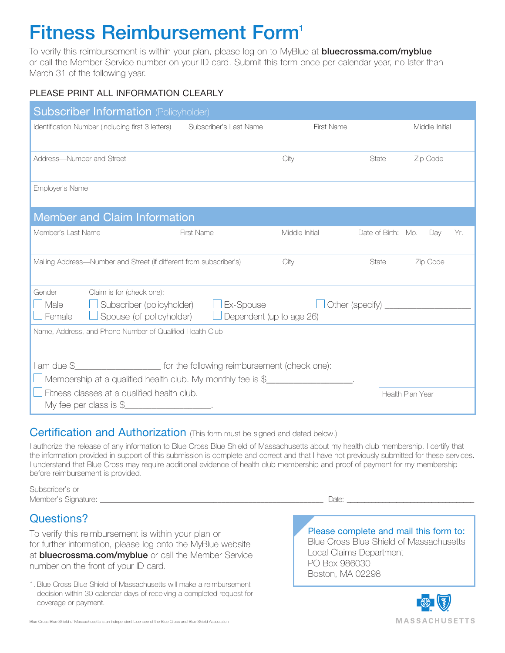## **Fitness Reimbursement Form'**

To verify this reimbursement is within your plan, please log on to MyBlue at **bluecrossma.com/myblue** or call the Member Service number on your ID card. Submit this form once per calendar year, no later than March 31 of the following year.

## PLEASE PRINT ALL INFORMATION CLEARLY

| <b>Subscriber Information (Policyholder)</b>                                                                                                                                                                                                                                 |                        |                   |                    |                  |     |
|------------------------------------------------------------------------------------------------------------------------------------------------------------------------------------------------------------------------------------------------------------------------------|------------------------|-------------------|--------------------|------------------|-----|
| Identification Number (including first 3 letters)                                                                                                                                                                                                                            | Subscriber's Last Name | <b>First Name</b> |                    | Middle Initial   |     |
| Address-Number and Street                                                                                                                                                                                                                                                    |                        | City              | State              | Zip Code         |     |
| Employer's Name                                                                                                                                                                                                                                                              |                        |                   |                    |                  |     |
| <b>Member and Claim Information</b>                                                                                                                                                                                                                                          |                        |                   |                    |                  |     |
| Member's Last Name                                                                                                                                                                                                                                                           | <b>First Name</b>      | Middle Initial    | Date of Birth: Mo. | Day              | Yr. |
| Mailing Address—Number and Street (if different from subscriber's)                                                                                                                                                                                                           |                        | City              | State              | Zip Code         |     |
| Claim is for (check one):<br>Gender<br>Subscriber (policyholder) $\Box$ Ex-Spouse<br>$\sqcup$ Male<br>$\Box$ Female<br>Spouse (of policyholder)<br>Dependent (up to age 26)<br>Name, Address, and Phone Number of Qualified Health Club                                      |                        |                   |                    |                  |     |
|                                                                                                                                                                                                                                                                              |                        |                   |                    |                  |     |
| I am due \$_______________________ for the following reimbursement (check one):<br>J Membership at a qualified health club. My monthly fee is \$                                                                                                                             |                        |                   |                    |                  |     |
| Fitness classes at a qualified health club.<br>My fee per class is $\frac{1}{2}$ The state of the state of the state of the state of the state of the state of the state of the state of the state of the state of the state of the state of the state of the state of the s |                        |                   |                    | Health Plan Year |     |

## Certification and Authorization (This form must be signed and dated below.)

I authorize the release of any information to Blue Cross Blue Shield of Massachusetts about my health club membership. I certify that the information provided in support of this submission is complete and correct and that I have not previously submitted for these services. I understand that Blue Cross may require additional evidence of health club membership and proof of payment for my membership before reimbursement is provided.

Subscriber's or Member's Signature: \_\_\_\_\_\_\_\_\_\_\_\_\_\_\_\_\_\_\_\_\_\_\_\_\_\_\_\_\_\_\_\_\_\_\_\_\_\_\_\_\_\_\_\_\_\_\_\_\_\_\_\_\_\_\_\_\_ Date: \_\_\_\_\_\_\_\_\_\_\_\_\_\_\_\_\_\_\_\_\_\_\_\_\_\_\_\_\_\_\_\_\_\_\_\_

Questions?

To verify this reimbursement is within your plan or for further information, please log onto the MyBlue website at **bluecrossma.com/myblue** or call the Member Service number on the front of your ID card.

1. Blue Cross Blue Shield of Massachusetts will make a reimbursement decision within 30 calendar days of receiving a completed request for coverage or payment.

Please complete and mail this form to: Blue Cross Blue Shield of Massachusetts Local Claims Department PO Box 986030 Boston, MA 02298